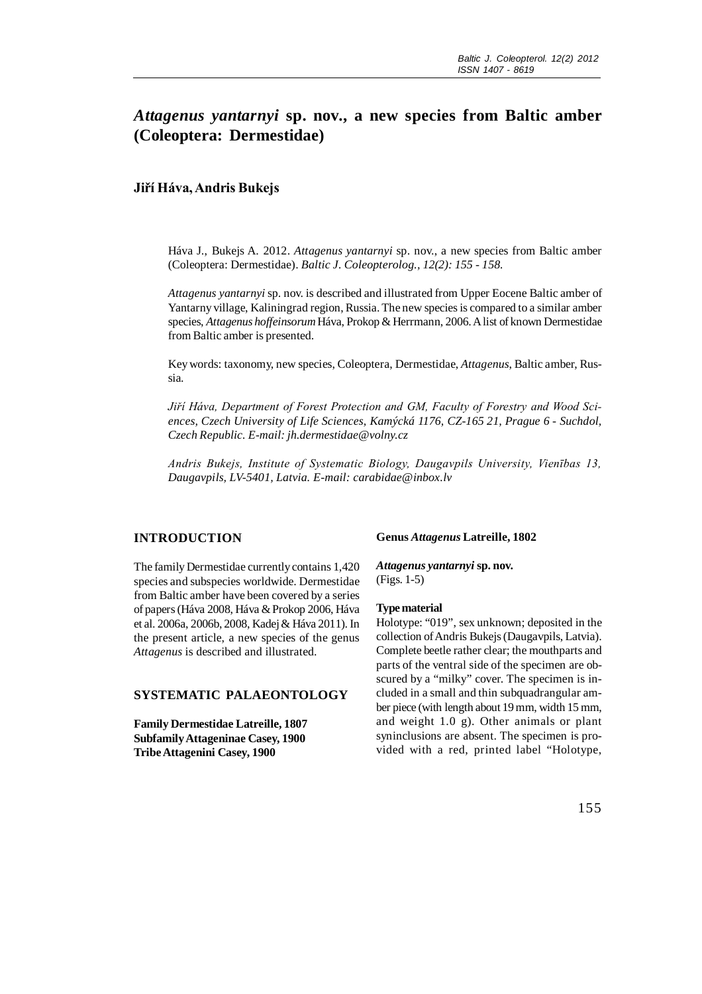# *Attagenus yantarnyi* **sp. nov., a new species from Baltic amber (Coleoptera: Dermestidae)**

### **Jiří Háva, Andris Bukejs**

Háva J., Bukejs A. 2012. *Attagenus yantarnyi* sp. nov., a new species from Baltic amber (Coleoptera: Dermestidae). *Baltic J. Coleopterolog., 12(2): 155 - 158.*

*Attagenus yantarnyi* sp. nov. is described and illustrated from Upper Eocene Baltic amber of Yantarny village, Kaliningrad region, Russia. The new species is compared to a similar amber species, *Attagenus hoffeinsorum* Háva, Prokop & Herrmann, 2006. A list of known Dermestidae from Baltic amber is presented.

Key words: taxonomy, new species, Coleoptera, Dermestidae, *Attagenus*, Baltic amber, Russia.

*Jiří Háva, Department of Forest Protection and GM, Faculty of Forestry and Wood Sciences, Czech University of Life Sciences, Kamýcká 1176, CZ-165 21, Prague 6 - Suchdol, Czech Republic. E-mail: jh.dermestidae@volny.cz*

*Andris Bukejs, Institute of Systematic Biology, Daugavpils University, Vienības 13, Daugavpils, LV-5401, Latvia. E-mail: carabidae@inbox.lv*

# **INTRODUCTION**

The family Dermestidae currently contains 1,420 species and subspecies worldwide. Dermestidae from Baltic amber have been covered by a series of papers (Háva 2008, Háva & Prokop 2006, Háva et al. 2006a, 2006b, 2008, Kadej & Háva 2011). In the present article, a new species of the genus *Attagenus* is described and illustrated.

### **SYSTEMATIC PALAEONTOLOGY**

**Family Dermestidae Latreille, 1807 Subfamily Attageninae Casey, 1900 Tribe Attagenini Casey, 1900**

### **Genus** *Attagenus* **Latreille, 1802**

*Attagenus yantarnyi* **sp. nov.** (Figs. 1-5)

#### **Type material**

Holotype: "019", sex unknown; deposited in the collection of Andris Bukejs (Daugavpils, Latvia). Complete beetle rather clear; the mouthparts and parts of the ventral side of the specimen are obscured by a "milky" cover. The specimen is included in a small and thin subquadrangular amber piece (with length about 19 mm, width 15 mm, and weight 1.0 g). Other animals or plant syninclusions are absent. The specimen is provided with a red, printed label "Holotype,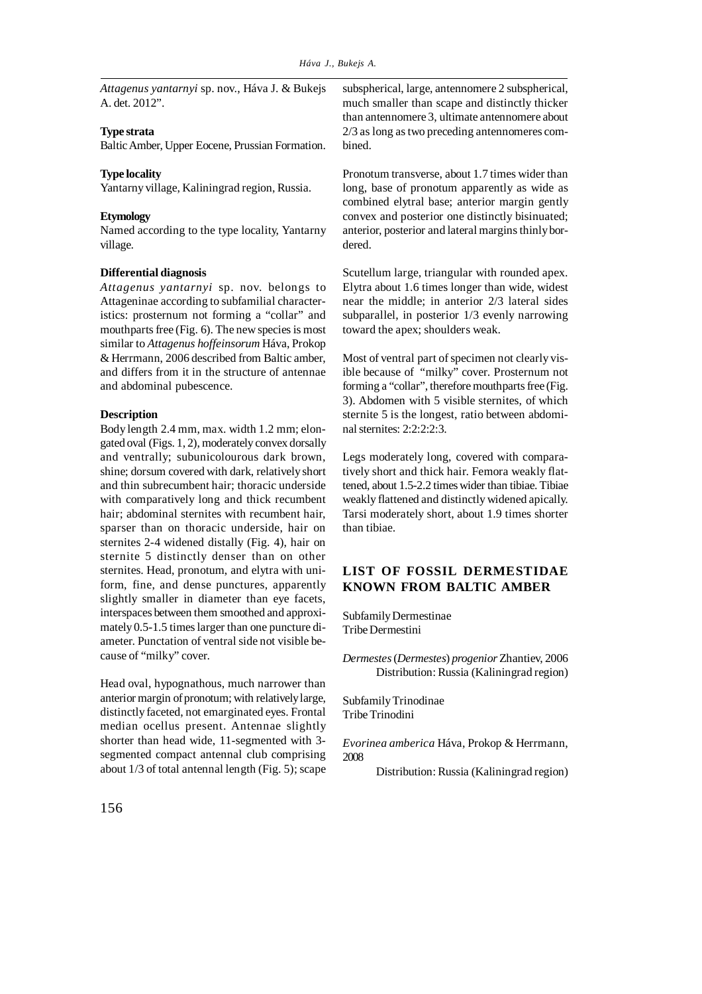*Attagenus yantarnyi* sp. nov., Háva J. & Bukejs A. det. 2012".

### **Type strata**

Baltic Amber, Upper Eocene, Prussian Formation.

### **Type locality**

Yantarny village, Kaliningrad region, Russia.

### **Etymology**

Named according to the type locality, Yantarny village.

#### **Differential diagnosis**

*Attagenus yantarnyi* sp. nov. belongs to Attageninae according to subfamilial characteristics: prosternum not forming a "collar" and mouthparts free (Fig. 6). The new species is most similar to *Attagenus hoffeinsorum* Háva, Prokop & Herrmann, 2006 described from Baltic amber, and differs from it in the structure of antennae and abdominal pubescence.

### **Description**

Body length 2.4 mm, max. width 1.2 mm; elongated oval (Figs. 1, 2), moderately convex dorsally and ventrally; subunicolourous dark brown, shine; dorsum covered with dark, relatively short and thin subrecumbent hair; thoracic underside with comparatively long and thick recumbent hair; abdominal sternites with recumbent hair, sparser than on thoracic underside, hair on sternites 2-4 widened distally (Fig. 4), hair on sternite 5 distinctly denser than on other sternites. Head, pronotum, and elytra with uniform, fine, and dense punctures, apparently slightly smaller in diameter than eye facets, interspaces between them smoothed and approximately 0.5-1.5 times larger than one puncture diameter. Punctation of ventral side not visible because of "milky" cover.

Head oval, hypognathous, much narrower than anterior margin of pronotum; with relatively large, distinctly faceted, not emarginated eyes. Frontal median ocellus present. Antennae slightly shorter than head wide, 11-segmented with 3 segmented compact antennal club comprising about 1/3 of total antennal length (Fig. 5); scape

subspherical, large, antennomere 2 subspherical, much smaller than scape and distinctly thicker than antennomere 3, ultimate antennomere about 2/3 as long as two preceding antennomeres combined.

Pronotum transverse, about 1.7 times wider than long, base of pronotum apparently as wide as combined elytral base; anterior margin gently convex and posterior one distinctly bisinuated; anterior, posterior and lateral margins thinly bordered.

Scutellum large, triangular with rounded apex. Elytra about 1.6 times longer than wide, widest near the middle; in anterior 2/3 lateral sides subparallel, in posterior 1/3 evenly narrowing toward the apex; shoulders weak.

Most of ventral part of specimen not clearly visible because of "milky" cover. Prosternum not forming a "collar", therefore mouthparts free (Fig. 3). Abdomen with 5 visible sternites, of which sternite 5 is the longest, ratio between abdominal sternites: 2:2:2:2:3.

Legs moderately long, covered with comparatively short and thick hair. Femora weakly flattened, about 1.5-2.2 times wider than tibiae. Tibiae weakly flattened and distinctly widened apically. Tarsi moderately short, about 1.9 times shorter than tibiae.

# **LIST OF FOSSIL DERMESTIDAE KNOWN FROM BALTIC AMBER**

Subfamily Dermestinae Tribe Dermestini

*Dermestes* (*Dermestes*) *progenior* Zhantiev, 2006 Distribution: Russia (Kaliningrad region)

Subfamily Trinodinae Tribe Trinodini

*Evorinea amberica* Háva, Prokop & Herrmann, 2008

Distribution: Russia (Kaliningrad region)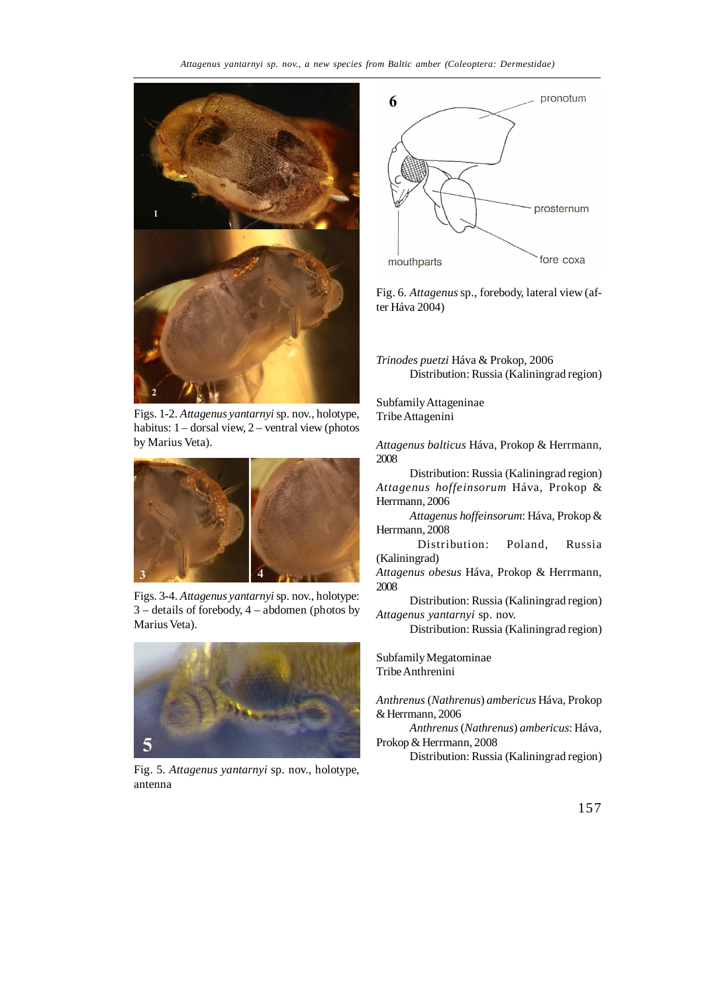

Figs. 1-2. *Attagenus yantarnyi* sp. nov., holotype, habitus: 1 – dorsal view, 2 – ventral view (photos by Marius Veta).



Figs. 3-4. *Attagenus yantarnyi* sp. nov., holotype: 3 – details of forebody, 4 – abdomen (photos by Marius Veta).



Fig. 5. *Attagenus yantarnyi* sp. nov., holotype, antenna



Fig. 6. *Attagenus* sp., forebody, lateral view (after Háva 2004)

*Trinodes puetzi* Háva & Prokop, 2006 Distribution: Russia (Kaliningrad region)

Subfamily Attageninae Tribe Attagenini

*Attagenus balticus* Háva, Prokop & Herrmann, 2008

Distribution: Russia (Kaliningrad region) *Attagenus hoffeinsorum* Háva, Prokop & Herrmann, 2006

*Attagenus hoffeinsorum*: Háva, Prokop & Herrmann, 2008

Distribution: Poland, Russia (Kaliningrad)

*Attagenus obesus* Háva, Prokop & Herrmann, 2008

Distribution: Russia (Kaliningrad region) *Attagenus yantarnyi* sp. nov.

Distribution: Russia (Kaliningrad region)

Subfamily Megatominae Tribe Anthrenini

*Anthrenus* (*Nathrenus*) *ambericus* Háva, Prokop & Herrmann, 2006

*Anthrenus* (*Nathrenus*) *ambericus*: Háva, Prokop & Herrmann, 2008

Distribution: Russia (Kaliningrad region)